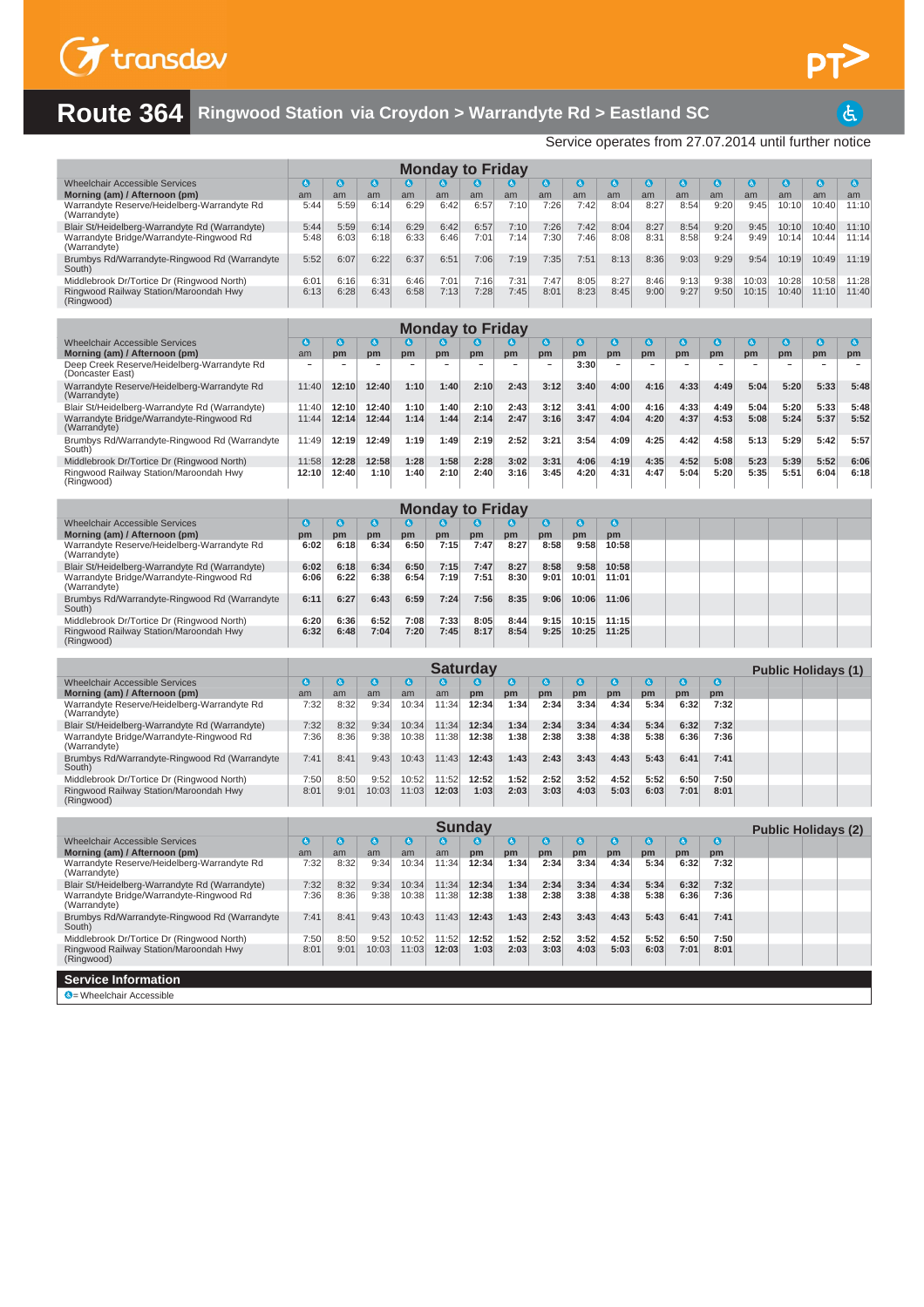

 $\overline{d}$ 

## **Route 364 Ringwood Station via Croydon > Warrandyte Rd > Eastland SC**

Service operates from 27.07.2014 until further notice

|                                                                                      |                 |                 |                 |                 | <b>Monday to Friday</b> |                      |              |                 |                 |                 |              |              |              |                |                |                            |                |
|--------------------------------------------------------------------------------------|-----------------|-----------------|-----------------|-----------------|-------------------------|----------------------|--------------|-----------------|-----------------|-----------------|--------------|--------------|--------------|----------------|----------------|----------------------------|----------------|
| <b>Wheelchair Accessible Services</b>                                                | $\bullet$       | $\bullet$       | $\bullet$       | $\mathbf{a}$    |                         |                      | G            | $\bullet$       | $\bullet$       | $\bullet$       | ◎            | $\bullet$    | $\bullet$    | $\bullet$      | G              | $\bullet$                  | $\bullet$      |
| Morning (am) / Afternoon (pm)<br>Warrandyte Reserve/Heidelberg-Warrandyte Rd         | am<br>5:44      | am<br>5:59      | am<br>6:14      | am<br>6:29      | am<br>6:42              | am<br>6:57           | am<br>7:10   | am<br>7:26      | am<br>7:42      | am<br>8:04      | am<br>8:27   | am<br>8:54   | am<br>9:20   | am<br>9:45     | am<br>10:10    | am<br>10:40                | am<br>11:10    |
| (Warrandyte)<br>Blair St/Heidelberg-Warrandyte Rd (Warrandyte)                       | 5:44            | 5:59            | 6:14            | 6:29            | 6:42                    | 6:57                 | 7:10         | 7:26            | 7:42            | 8:04            | 8:27         | 8:54         | 9:20         | 9:45           | 10:10          | 10:40                      | 11:10          |
| Warrandyte Bridge/Warrandyte-Ringwood Rd                                             | 5:48            | 6:03            | 6:18            | 6:33            | 6:46                    | 7:01                 | 7:14         | 7:30            | 7:46            | 8:08            | 8:31         | 8:58         | 9:24         | 9:49           | 10:14          | 10:44                      | 11:14          |
| (Warrandyte)<br>Brumbys Rd/Warrandyte-Ringwood Rd (Warrandyte                        | 5:52            | 6:07            | 6:22            | 6:37            | 6:51                    | 7:06                 | 7:19         | 7:35            | 7:51            | 8:13            | 8:36         | 9:03         | 9:29         | 9:54           | 10:19          | 10:49                      | 11:19          |
| South)                                                                               |                 |                 |                 |                 |                         |                      |              |                 |                 |                 |              |              |              |                |                |                            |                |
| Middlebrook Dr/Tortice Dr (Ringwood North)<br>Ringwood Railway Station/Maroondah Hwy | 6:01<br>6:13    | 6:16<br>6:28    | 6:31<br>6:43    | 6:46<br>6:58    | 7:01<br>7:13            | 7:16<br>7:28         | 7:31<br>7:45 | 7:47<br>8:01    | 8:05<br>8:23    | 8:27<br>8:45    | 8:46<br>9:00 | 9:13<br>9:27 | 9:38<br>9:50 | 10:03<br>10:15 | 10:28<br>10:40 | 10:58<br>11:10             | 11:28<br>11:40 |
| (Ringwood)                                                                           |                 |                 |                 |                 |                         |                      |              |                 |                 |                 |              |              |              |                |                |                            |                |
|                                                                                      |                 |                 |                 |                 | <b>Monday to Friday</b> |                      |              |                 |                 |                 |              |              |              |                |                |                            |                |
| <b>Wheelchair Accessible Services</b>                                                | ہ               | $\bullet$       | O               | $\bullet$       | ဖ                       | G                    | (å           | G               | $\bullet$       | G               | $\bullet$    | G            | ◑            | O              | G              | $\bullet$                  | O              |
| Morning (am) / Afternoon (pm)<br>Deep Creek Reserve/Heidelberg-Warrandyte Rd         | am              | pm              | pm              | pm              | pm                      | pm                   | pm           | pm              | pm<br>3:30      | pm              | pm           | pm           | pm           | pm             | pm             | pm                         | pm             |
| (Doncaster East)                                                                     |                 |                 |                 |                 |                         |                      |              |                 |                 |                 |              |              |              |                |                |                            |                |
| Warrandyte Reserve/Heidelberg-Warrandyte Rd<br>(Warrandyte)                          | 11:40           | 12:10           | 12:40           | 1:10            | 1:40                    | 2:10                 | 2:43         | 3:12            | 3:40            | 4:00            | 4:16         | 4:33         | 4:49         | 5:04           | 5:20           | 5:33                       | 5:48           |
| Blair St/Heidelberg-Warrandyte Rd (Warrandyte)                                       | 11:40           | 12:10           | 12:40           | 1:10            | 1:40                    | 2:10                 | 2:43         | 3:12            | 3:41            | 4:00            | 4:16         | 4:33         | 4:49         | 5:04           | 5:20           | 5:33                       | 5:48           |
| Warrandyte Bridge/Warrandyte-Ringwood Rd<br>(Warrandyte)                             | 11:44           | 12:14           | 12:44           | 1:14            | 1:44                    | 2:14                 | 2:47         | 3:16            | 3:47            | 4:04            | 4:20         | 4:37         | 4:53         | 5:08           | 5:24           | 5:37                       | 5:52           |
| Brumbys Rd/Warrandyte-Ringwood Rd (Warrandyte<br>South)                              | 11:49           | 12:19           | 12:49           | 1:19            | 1:49                    | 2:19                 | 2:52         | 3:21            | 3:54            | 4:09            | 4:25         | 4:42         | 4:58         | 5:13           | 5:29           | 5:42                       | 5:57           |
| Middlebrook Dr/Tortice Dr (Ringwood North)                                           | 11:58           | 12:28           | 12:58           | 1:28            | 1:58                    | 2:28                 | 3:02         | 3:31            | 4:06            | 4:19            | 4:35         | 4:52         | 5:08         | 5:23           | 5:39           | 5:52                       | 6:06           |
| Ringwood Railway Station/Maroondah Hwy<br>(Ringwood)                                 | 12:10           | 12:40           | 1:10            | 1:40            | 2:10                    | 2:40                 | 3:16         | 3:45            | 4:20            | 4:31            | 4:47         | 5:04         | 5:20         | 5:35           | 5:51           | 6:04                       | 6:18           |
|                                                                                      |                 |                 |                 |                 |                         |                      |              |                 |                 |                 |              |              |              |                |                |                            |                |
|                                                                                      |                 |                 |                 |                 | <b>Monday to Friday</b> |                      |              |                 |                 |                 |              |              |              |                |                |                            |                |
| <b>Wheelchair Accessible Services</b><br>Morning (am) / Afternoon (pm)               | $\bullet$<br>pm | $\bullet$<br>pm | $\bullet$<br>pm | $\bullet$<br>pm | (હે.<br>pm              | (d.)<br>pm           | 3<br>pm      | $\bullet$<br>pm | $\bullet$<br>pm | $\bullet$<br>pm |              |              |              |                |                |                            |                |
| Warrandyte Reserve/Heidelberg-Warrandyte Rd<br>(Warrandyte)                          | 6:02            | 6:18            | 6:34            | 6:50            | 7:15                    | 7:47                 | 8:27         | 8:58            | 9:58            | 10:58           |              |              |              |                |                |                            |                |
| Blair St/Heidelberg-Warrandyte Rd (Warrandyte)                                       | 6:02            | 6:18            | 6:34            | 6:50            | 7:15                    | 7:47                 | 8:27         | 8:58            | 9:58            | 10:58           |              |              |              |                |                |                            |                |
| Warrandyte Bridge/Warrandyte-Ringwood Rd<br>(Warrandyte)                             | 6:06            | 6:22            | 6:38            | 6:54            | 7:19                    | 7:51                 | 8:30         | 9:01            | 10:01           | 11:01           |              |              |              |                |                |                            |                |
| Brumbys Rd/Warrandyte-Ringwood Rd (Warrandyte<br>South)                              | 6:11            | 6:27            | 6:43            | 6:59            | 7:24                    | 7:56                 | 8:35         | 9:06            | 10:06           | 11:06           |              |              |              |                |                |                            |                |
| Middlebrook Dr/Tortice Dr (Ringwood North)                                           | 6:20            | 6:36            | 6:52            | 7:08            | 7:33                    | 8:05                 | 8:44         | 9:15            | 10:15           | 11:15           |              |              |              |                |                |                            |                |
| Ringwood Railway Station/Maroondah Hwy<br>(Ringwood)                                 | 6:32            | 6:48            | 7:04            | 7:20            | 7:45                    | 8:17                 | 8:54         | 9:25            | 10:25           | 11:25           |              |              |              |                |                |                            |                |
|                                                                                      |                 |                 |                 |                 |                         |                      |              |                 |                 |                 |              |              |              |                |                |                            |                |
| <b>Wheelchair Accessible Services</b>                                                | G               | $\bullet$       | O               | $\bullet$       | G                       | <b>Saturday</b><br>G | G            | $\bullet$       | $\bullet$       | $\mathbf G$     | ◎            | $\bullet$    | ◎            |                |                | <b>Public Holidays (1)</b> |                |
| Morning (am) / Afternoon (pm)                                                        | am              | am              | am              | am              | am                      | pm                   | pm           | pm              | pm              | pm              | pm           | pm           | pm           |                |                |                            |                |
| Warrandyte Reserve/Heidelberg-Warrandyte Rd<br>(Warrandyte)                          | 7:32            | 8:32            | 9:34            | 10:34           | 11:34                   | 12:34                | 1:34         | 2:34            | 3:34            | 4:34            | 5:34         | 6:32         | 7:32         |                |                |                            |                |
| Blair St/Heidelberg-Warrandyte Rd (Warrandyte)                                       | 7:32            | 8:32            | 9:34            | 10:34           | 11:34                   | 12:34                | 1:34         | 2:34            | 3:34            | 4:34            | 5:34         | 6:32         | 7:32         |                |                |                            |                |
| Warrandyte Bridge/Warrandyte-Ringwood Rd<br>(Warrandyte)                             | 7:36            | 8:36            | 9:38            | 10:38           | 11:38                   | 12:38                | 1:38         | 2:38            | 3:38            | 4:38            | 5:38         | 6:36         | 7:36         |                |                |                            |                |
| Brumbys Rd/Warrandyte-Ringwood Rd (Warrandyte<br>South)                              | 7:41            | 8:41            | 9:43            | 10:43           | 11:43                   | 12:43                | 1:43         | 2:43            | 3:43            | 4:43            | 5:43         | 6:41         | 7:41         |                |                |                            |                |
| Middlebrook Dr/Tortice Dr (Ringwood North)                                           | 7:50            | 8:50            | 9:52            | 10:52           | 11:52                   | 12:52                | 1:52         | 2:52            | 3:52            | 4:52            | 5:52         | 6:50         | 7:50         |                |                |                            |                |
| Ringwood Railway Station/Maroondah Hwy<br>(Ringwood)                                 | 8:01            | 9:01            | 10:03           | 11:03           | 12:03                   | 1:03                 | 2:03         | 3:03            | 4:03            | 5:03            | 6:03         | 7:01         | 8:01         |                |                |                            |                |
|                                                                                      |                 |                 |                 |                 |                         |                      |              |                 |                 |                 |              |              |              |                |                |                            |                |
| <b>Wheelchair Accessible Services</b>                                                | $\mathbf{G}$    | G               | G               | €               | $\mathbf{a}$            | <b>Sunday</b><br>G   | G            | G               | G               | G               | G            | $\bullet$    | O            |                |                | <b>Public Holidays (2)</b> |                |
| Morning (am) / Afternoon (pm)                                                        | am              | am              | am              | am              | am                      | pm                   | pm           | pm              | pm              | pm              | pm           | pm           | pm           |                |                |                            |                |
| Warrandyte Reserve/Heidelberg-Warrandyte Rd<br>(Warrandyte)                          | 7:32            | 8:32            | 9:34            | 10:34           | 11:34                   | 12:34                | 1:34         | 2:34            | 3:34            | 4:34            | 5:34         | 6:32         | 7:32         |                |                |                            |                |
| Blair St/Heidelberg-Warrandyte Rd (Warrandyte)                                       | 7:32            | 8:32            | 9:34            | 10:34           | 11:34                   | 12:34                | 1:34         | 2:34            | 3:34            | 4:34            | 5:34         | 6:32         | 7:32         |                |                |                            |                |
| Warrandyte Bridge/Warrandyte-Ringwood Rd<br>(Warrandyte)                             | 7:36            | 8:36            | 9:38            | 10:38           | 11:38                   | 12:38                | 1:38         | 2:38            | 3:38            | 4:38            | 5:38         | 6:36         | 7:36         |                |                |                            |                |
| Brumbys Rd/Warrandyte-Ringwood Rd (Warrandyte<br>South)                              | 7:41            | 8:41            | 9:43            | 10:43           | 11:43                   | 12:43                | 1:43         | 2:43            | 3:43            | 4:43            | 5:43         | 6:41         | 7:41         |                |                |                            |                |
| Middlebrook Dr/Tortice Dr (Ringwood North)<br>Ringwood Railway Station/Maroondah Hwy | 7:50<br>8:01    | 8:50<br>9:01    | 9:52<br>10:03   | 10:52<br>11:03  | 11:52<br>12:03          | 12:52<br>1:03        | 1:52<br>2:03 | 2:52<br>3:03    | 3:52<br>4:03    | 4:52<br>5:03    | 5:52<br>6:03 | 6:50<br>7:01 | 7:50<br>8:01 |                |                |                            |                |
| (Ringwood)                                                                           |                 |                 |                 |                 |                         |                      |              |                 |                 |                 |              |              |              |                |                |                            |                |
| <b>Service Information</b>                                                           |                 |                 |                 |                 |                         |                      |              |                 |                 |                 |              |              |              |                |                |                            |                |
| C = Wheelchair Accessible                                                            |                 |                 |                 |                 |                         |                      |              |                 |                 |                 |              |              |              |                |                |                            |                |